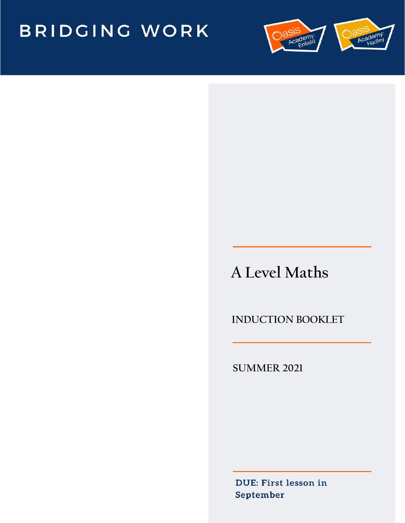# BRIDGING WORK



# **A Level Maths**

 **INDUCTION BOOKLET**

**SUMMER 2021**

DUE: First lesson in September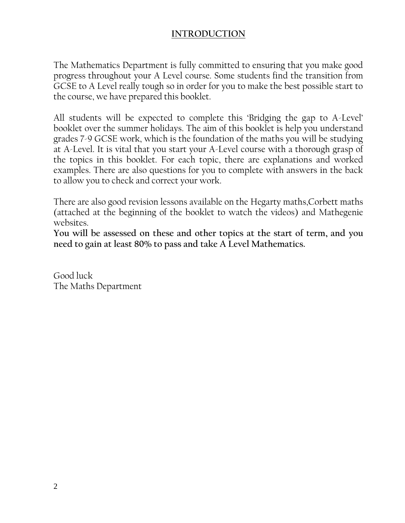### **INTRODUCTION**

The Mathematics Department is fully committed to ensuring that you make good progress throughout your A Level course. Some students find the transition from GCSE to A Level really tough so in order for you to make the best possible start to the course, we have prepared this booklet.

All students will be expected to complete this 'Bridging the gap to A-Level' booklet over the summer holidays. The aim of this booklet is help you understand grades 7-9 GCSE work, which is the foundation of the maths you will be studying at A-Level. It is vital that you start your A-Level course with a thorough grasp of the topics in this booklet. For each topic, there are explanations and worked examples. There are also questions for you to complete with answers in the back to allow you to check and correct your work.

There are also good revision lessons available on the Hegarty maths,Corbett maths (attached at the beginning of the booklet to watch the videos) and Mathegenie websites.

**You will be assessed on these and other topics at the start of term, and you need to gain at least 80% to pass and take A Level Mathematics.**

Good luck The Maths Department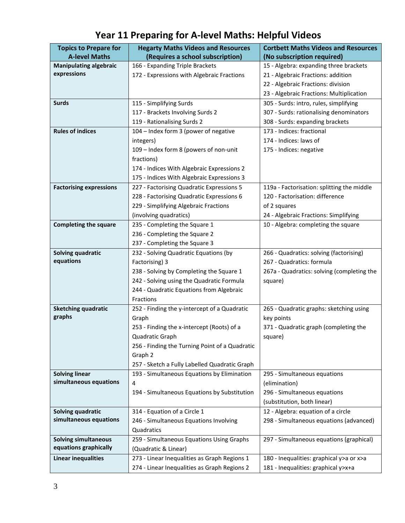| <b>Topics to Prepare for</b>   | <b>Hegarty Maths Videos and Resources</b>      | <b>Cortbett Maths Videos and Resources</b> |
|--------------------------------|------------------------------------------------|--------------------------------------------|
| <b>A-level Maths</b>           | (Requires a school subscription)               | (No subscription required)                 |
| <b>Manipulating algebraic</b>  | 166 - Expanding Triple Brackets                | 15 - Algebra: expanding three brackets     |
| expressions                    | 172 - Expressions with Algebraic Fractions     | 21 - Algebraic Fractions: addition         |
|                                |                                                | 22 - Algebraic Fractions: division         |
|                                |                                                | 23 - Algebraic Fractions: Multiplication   |
| <b>Surds</b>                   | 115 - Simplifying Surds                        | 305 - Surds: intro, rules, simplifying     |
|                                | 117 - Brackets Involving Surds 2               | 307 - Surds: rationalising denominators    |
|                                | 119 - Rationalising Surds 2                    | 308 - Surds: expanding brackets            |
| <b>Rules of indices</b>        | 104 - Index form 3 (power of negative          | 173 - Indices: fractional                  |
|                                | integers)                                      | 174 - Indices: laws of                     |
|                                | 109 - Index form 8 (powers of non-unit         | 175 - Indices: negative                    |
|                                | fractions)                                     |                                            |
|                                | 174 - Indices With Algebraic Expressions 2     |                                            |
|                                | 175 - Indices With Algebraic Expressions 3     |                                            |
| <b>Factorising expressions</b> | 227 - Factorising Quadratic Expressions 5      | 119a - Factorisation: splitting the middle |
|                                | 228 - Factorising Quadratic Expressions 6      | 120 - Factorisation: difference            |
|                                | 229 - Simplifying Algebraic Fractions          | of 2 squares                               |
|                                | (involving quadratics)                         | 24 - Algebraic Fractions: Simplifying      |
| <b>Completing the square</b>   | 235 - Completing the Square 1                  | 10 - Algebra: completing the square        |
|                                | 236 - Completing the Square 2                  |                                            |
|                                | 237 - Completing the Square 3                  |                                            |
| Solving quadratic              | 232 - Solving Quadratic Equations (by          | 266 - Quadratics: solving (factorising)    |
| equations                      | Factorising) 3                                 | 267 - Quadratics: formula                  |
|                                | 238 - Solving by Completing the Square 1       | 267a - Quadratics: solving (completing the |
|                                | 242 - Solving using the Quadratic Formula      | square)                                    |
|                                | 244 - Quadratic Equations from Algebraic       |                                            |
|                                | <b>Fractions</b>                               |                                            |
| <b>Sketching quadratic</b>     | 252 - Finding the y-intercept of a Quadratic   | 265 - Quadratic graphs: sketching using    |
| graphs                         | Graph                                          | key points                                 |
|                                | 253 - Finding the x-intercept (Roots) of a     | 371 - Quadratic graph (completing the      |
|                                | Quadratic Graph                                | square)                                    |
|                                | 256 - Finding the Turning Point of a Quadratic |                                            |
|                                | Graph 2                                        |                                            |
|                                | 257 - Sketch a Fully Labelled Quadratic Graph  |                                            |
| <b>Solving linear</b>          | 193 - Simultaneous Equations by Elimination    | 295 - Simultaneous equations               |
| simultaneous equations         | 4                                              | (elimination)                              |
|                                | 194 - Simultaneous Equations by Substitution   | 296 - Simultaneous equations               |
|                                |                                                | (substitution, both linear)                |
| Solving quadratic              | 314 - Equation of a Circle 1                   | 12 - Algebra: equation of a circle         |
| simultaneous equations         | 246 - Simultaneous Equations Involving         | 298 - Simultaneous equations (advanced)    |
|                                | Quadratics                                     |                                            |
| <b>Solving simultaneous</b>    | 259 - Simultaneous Equations Using Graphs      | 297 - Simultaneous equations (graphical)   |
| equations graphically          | (Quadratic & Linear)                           |                                            |
| <b>Linear inequalities</b>     | 273 - Linear Inequalities as Graph Regions 1   | 180 - Inequalities: graphical y>a or x>a   |
|                                | 274 - Linear Inequalities as Graph Regions 2   | 181 - Inequalities: graphical y>x+a        |

**Year 11 Preparing for A-level Maths: Helpful Videos**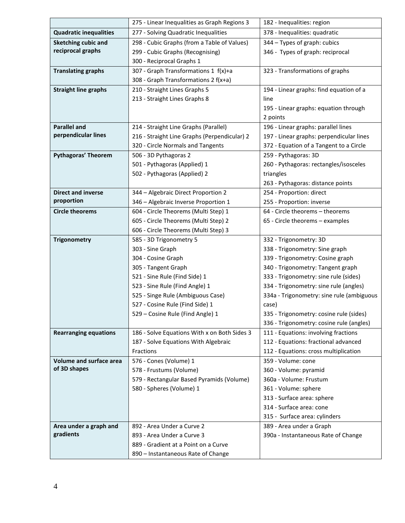|                               | 275 - Linear Inequalities as Graph Regions 3      | 182 - Inequalities: region                                  |
|-------------------------------|---------------------------------------------------|-------------------------------------------------------------|
| <b>Quadratic inequalities</b> | 277 - Solving Quadratic Inequalities              | 378 - Inequalities: quadratic                               |
| Sketching cubic and           | 298 - Cubic Graphs (from a Table of Values)       | 344 - Types of graph: cubics                                |
| reciprocal graphs             | 299 - Cubic Graphs (Recognising)                  | 346 - Types of graph: reciprocal                            |
|                               | 300 - Reciprocal Graphs 1                         |                                                             |
| <b>Translating graphs</b>     | 307 - Graph Transformations 1 f(x)+a              | 323 - Transformations of graphs                             |
|                               | 308 - Graph Transformations 2 f(x+a)              |                                                             |
| <b>Straight line graphs</b>   | 210 - Straight Lines Graphs 5                     | 194 - Linear graphs: find equation of a                     |
|                               | 213 - Straight Lines Graphs 8                     | line                                                        |
|                               |                                                   | 195 - Linear graphs: equation through                       |
|                               |                                                   | 2 points                                                    |
| <b>Parallel and</b>           | 214 - Straight Line Graphs (Parallel)             | 196 - Linear graphs: parallel lines                         |
| perpendicular lines           | 216 - Straight Line Graphs (Perpendicular) 2      | 197 - Linear graphs: perpendicular lines                    |
|                               | 320 - Circle Normals and Tangents                 | 372 - Equation of a Tangent to a Circle                     |
| <b>Pythagoras' Theorem</b>    | 506 - 3D Pythagoras 2                             | 259 - Pythagoras: 3D                                        |
|                               | 501 - Pythagoras (Applied) 1                      | 260 - Pythagoras: rectangles/isosceles                      |
|                               | 502 - Pythagoras (Applied) 2                      | triangles                                                   |
|                               |                                                   | 263 - Pythagoras: distance points                           |
| <b>Direct and inverse</b>     | 344 - Algebraic Direct Proportion 2               | 254 - Proportion: direct                                    |
| proportion                    | 346 - Algebraic Inverse Proportion 1              | 255 - Proportion: inverse                                   |
| <b>Circle theorems</b>        | 604 - Circle Theorems (Multi Step) 1              | 64 - Circle theorems - theorems                             |
|                               | 605 - Circle Theorems (Multi Step) 2              | 65 - Circle theorems - examples                             |
|                               | 606 - Circle Theorems (Multi Step) 3              |                                                             |
| <b>Trigonometry</b>           | 585 - 3D Trigonometry 5                           | 332 - Trigonometry: 3D                                      |
|                               | 303 - Sine Graph                                  | 338 - Trigonometry: Sine graph                              |
|                               | 304 - Cosine Graph                                | 339 - Trigonometry: Cosine graph                            |
|                               | 305 - Tangent Graph                               | 340 - Trigonometry: Tangent graph                           |
|                               | 521 - Sine Rule (Find Side) 1                     | 333 - Trigonometry: sine rule (sides)                       |
|                               | 523 - Sine Rule (Find Angle) 1                    | 334 - Trigonometry: sine rule (angles)                      |
|                               | 525 - Singe Rule (Ambiguous Case)                 | 334a - Trigonometry: sine rule (ambiguous                   |
|                               | 527 - Cosine Rule (Find Side) 1                   | case)                                                       |
|                               | 529 - Cosine Rule (Find Angle) 1                  | 335 - Trigonometry: cosine rule (sides)                     |
|                               |                                                   | 336 - Trigonometry: cosine rule (angles)                    |
| <b>Rearranging equations</b>  | 186 - Solve Equations With x on Both Sides 3      | 111 - Equations: involving fractions                        |
|                               | 187 - Solve Equations With Algebraic<br>Fractions | 112 - Equations: fractional advanced                        |
| Volume and surface area       |                                                   | 112 - Equations: cross multiplication<br>359 - Volume: cone |
| of 3D shapes                  | 576 - Cones (Volume) 1<br>578 - Frustums (Volume) | 360 - Volume: pyramid                                       |
|                               | 579 - Rectangular Based Pyramids (Volume)         | 360a - Volume: Frustum                                      |
|                               | 580 - Spheres (Volume) 1                          | 361 - Volume: sphere                                        |
|                               |                                                   | 313 - Surface area: sphere                                  |
|                               |                                                   | 314 - Surface area: cone                                    |
|                               |                                                   | 315 - Surface area: cylinders                               |
| Area under a graph and        | 892 - Area Under a Curve 2                        | 389 - Area under a Graph                                    |
| gradients                     | 893 - Area Under a Curve 3                        | 390a - Instantaneous Rate of Change                         |
|                               | 889 - Gradient at a Point on a Curve              |                                                             |
|                               | 890 - Instantaneous Rate of Change                |                                                             |
|                               |                                                   |                                                             |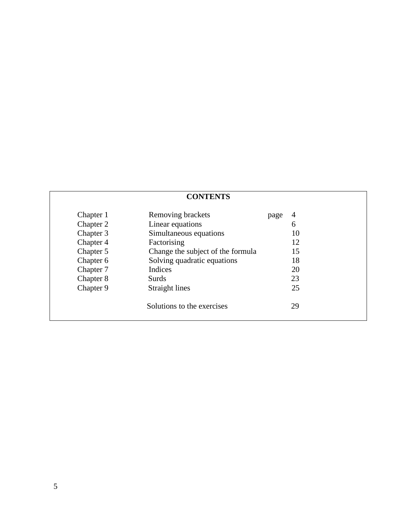### **CONTENTS**

| Chapter 1 | Removing brackets                 | page | 4  |
|-----------|-----------------------------------|------|----|
| Chapter 2 | Linear equations                  |      | 6  |
| Chapter 3 | Simultaneous equations            |      | 10 |
| Chapter 4 | Factorising                       |      | 12 |
| Chapter 5 | Change the subject of the formula |      | 15 |
| Chapter 6 | Solving quadratic equations       |      | 18 |
| Chapter 7 | Indices                           |      | 20 |
| Chapter 8 | Surds                             |      | 23 |
| Chapter 9 | Straight lines                    |      | 25 |
|           | Solutions to the exercises        |      | 29 |
|           |                                   |      |    |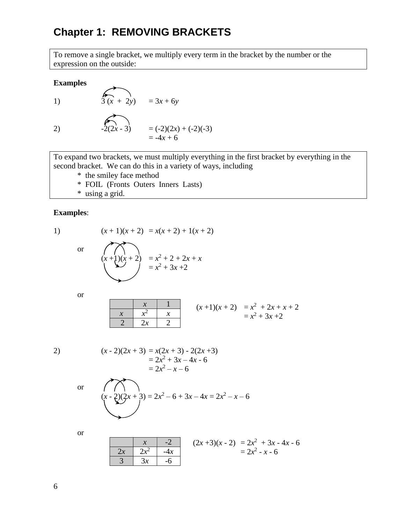# **Chapter 1: REMOVING BRACKETS**

To remove a single bracket, we multiply every term in the bracket by the number or the expression on the outside:

### **Examples**

1) 
$$
3(x + 2y) = 3x + 6y
$$
  
\n2)  $2(2x-3) = (-2)(2x) + (-2)(-3)$   
\n $= -4x + 6$ 

To expand two brackets, we must multiply everything in the first bracket by everything in the second bracket. We can do this in a variety of ways, including

- \* the smiley face method
- \* FOIL (Fronts Outers Inners Lasts)
- \* using a grid.

#### **Examples**:

1)  $(x+1)(x+2) = x(x+2) + 1(x+2)$ 

$$
\frac{1}{2}
$$

$$
(x+1)(x+2) = x^2 + 2 + 2x + x
$$
  
= x<sup>2</sup> + 3x + 2

or

$$
\begin{array}{c|cc}\nx & 1 \\
x & x^2 & x \\
\hline\n2 & 2x & 2\n\end{array}
$$
\n
$$
(x+1)(x+2) = x^2 + 2x + x + 2
$$
\n
$$
= x^2 + 3x + 2
$$

$$
\begin{aligned} (x-2)(2x+3) &= x(2x+3) - 2(2x+3) \\ &= 2x^2 + 3x - 4x - 6 \\ &= 2x^2 - x - 6 \end{aligned}
$$

$$
(x-2)(2x+3) = 2x^2 - 6 + 3x - 4x = 2x^2 - x - 6
$$

or

or

$$
\begin{array}{|c|c|c|c|c|}\n\hline\n & x & -2 & (2x+3)(x-2) & = 2x^2 + 3x - 4x - 6 \\
\hline\n & 3 & 3x & -6 & 2x^2 - x - 6\n\end{array}
$$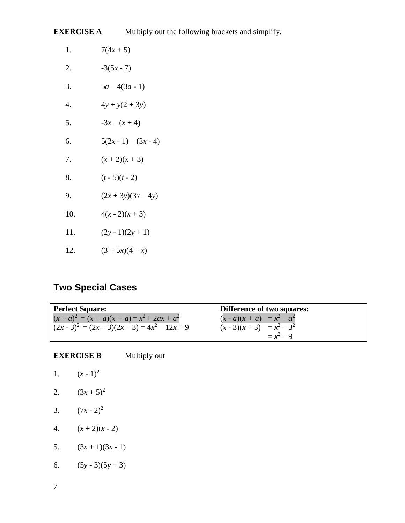**EXERCISE A** Multiply out the following brackets and simplify.

| 1.  | $7(4x + 5)$        |
|-----|--------------------|
| 2.  | $-3(5x - 7)$       |
| 3.  | $5a-4(3a-1)$       |
| 4.  | $4y + y(2 + 3y)$   |
| 5.  | $-3x - (x + 4)$    |
| б.  | $5(2x-1) - (3x-4)$ |
| 7.  | $(x+2)(x+3)$       |
| 8.  | $(t - 5)(t - 2)$   |
| 9.  | $(2x+3y)(3x-4y)$   |
| 10. | $4(x-2)(x+3)$      |
| 11. | $(2y-1)(2y+1)$     |
| 12. | $(3 + 5x)(4 - x)$  |
|     |                    |

# **Two Special Cases**

| <b>Perfect Square:</b>                         | <b>Difference of two squares:</b> |
|------------------------------------------------|-----------------------------------|
| $(x + a)^2 = (x + a)(x + a) = x^2 + 2ax + a^2$ | $(x - a)(x + a) = x^2 - a^2$      |
| $(2x-3)^2 = (2x-3)(2x-3) = 4x^2 - 12x + 9$     | $(x-3)(x+3) = x^2-3^2$            |
|                                                | $= x^2 - 9$                       |

| <b>EXERCISE B</b> | Multiply out |  |
|-------------------|--------------|--|
|                   |              |  |

| Ι. | $(x - 1)^2$ |
|----|-------------|
| 2. | $(3x+5)^2$  |

- 
- 3.  $(7x 2)^2$
- 4.  $(x+2)(x-2)$
- 5.  $(3x+1)(3x-1)$
- 6.  $(5y-3)(5y+3)$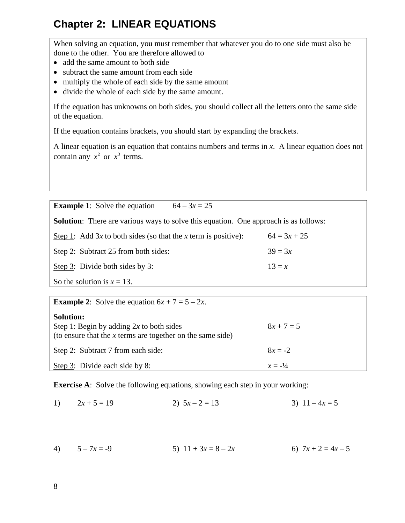# **Chapter 2: LINEAR EQUATIONS**

When solving an equation, you must remember that whatever you do to one side must also be done to the other. You are therefore allowed to

- add the same amount to both side
- subtract the same amount from each side
- multiply the whole of each side by the same amount
- divide the whole of each side by the same amount.

If the equation has unknowns on both sides, you should collect all the letters onto the same side of the equation.

If the equation contains brackets, you should start by expanding the brackets.

A linear equation is an equation that contains numbers and terms in *x*. A linear equation does not contain any  $x^2$  or  $x^3$  terms.

**Example 1**: Solve the equation  $64 - 3x = 25$ 

**Solution**: There are various ways to solve this equation. One approach is as follows:

| Step 1: Add 3x to both sides (so that the x term is positive): | $64 = 3x + 25$ |
|----------------------------------------------------------------|----------------|
| Step 2: Subtract 25 from both sides:                           | $39 = 3x$      |
| Step 3: Divide both sides by 3:                                | $13 = x$       |
| So the solution is $x = 13$ .                                  |                |

| <b>Example 2:</b> Solve the equation $6x + 7 = 5 - 2x$ .                                                                       |                    |
|--------------------------------------------------------------------------------------------------------------------------------|--------------------|
| <b>Solution:</b><br>Step 1: Begin by adding $2x$ to both sides<br>(to ensure that the $x$ terms are together on the same side) | $8x + 7 = 5$       |
| Step 2: Subtract 7 from each side:                                                                                             | $8x = -2$          |
| Step $3$ : Divide each side by 8:                                                                                              | $x = -\frac{1}{4}$ |

**Exercise A:** Solve the following equations, showing each step in your working:

1)  $2x + 5 = 19$  2)  $5x - 2 = 13$  3)  $11 - 4x = 5$ 

4)  $5-7x = -9$  5)  $11 + 3x = 8-2x$  6)  $7x + 2 = 4x - 5$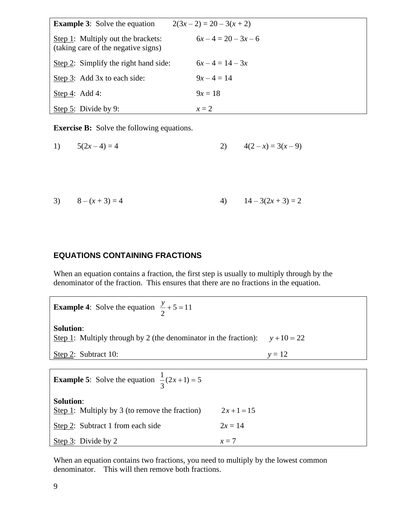| <b>Example 3:</b> Solve the equation                                      | $2(3x-2) = 20 - 3(x + 2)$ |  |
|---------------------------------------------------------------------------|---------------------------|--|
| Step 1: Multiply out the brackets:<br>(taking care of the negative signs) | $6x-4=20-3x-6$            |  |
| Step 2: Simplify the right hand side:                                     | $6x-4=14-3x$              |  |
| Step 3: Add 3x to each side:                                              | $9x-4=14$                 |  |
| Step 4: Add 4:                                                            | $9x = 18$                 |  |
| Step 5: Divide by 9:                                                      | $x=2$                     |  |

**Exercise B:** Solve the following equations.

1) 
$$
5(2x-4) = 4
$$
 2)  $4(2-x) = 3(x-9)$ 

3) 
$$
8-(x+3)=4
$$
 4)  $14-3(2x+3)=2$ 

### **EQUATIONS CONTAINING FRACTIONS**

When an equation contains a fraction, the first step is usually to multiply through by the denominator of the fraction. This ensures that there are no fractions in the equation.

**Example 4:** Solve the equation  $\frac{y}{2} + 5 = 11$ 2  $\frac{y}{-}$  + 5 = **Solution**: Step 1: Multiply through by 2 (the denominator in the fraction):  $y + 10 = 22$ Step 2: Subtract 10:  $y = 12$ **Example 5**: Solve the equation  $\frac{1}{3}(2x+1) = 5$ **Solution**: Step 1: Multiply by 3 (to remove the fraction)  $2x + 1 = 15$ Step 2: Subtract 1 from each side  $2x = 14$ Step 3: Divide by 2  $x = 7$ 

When an equation contains two fractions, you need to multiply by the lowest common denominator. This will then remove both fractions.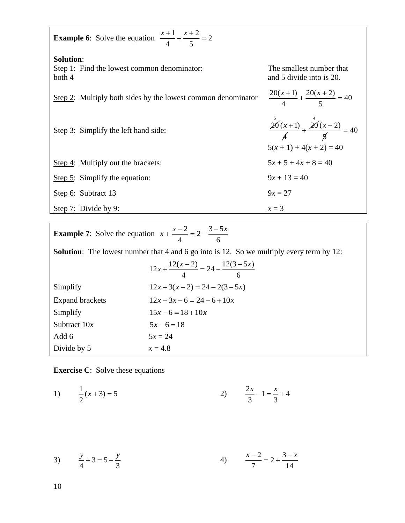| <b>Example 6:</b> Solve the equation $\frac{x+1}{4} + \frac{x+2}{5} = 2$  |                                                                            |  |  |
|---------------------------------------------------------------------------|----------------------------------------------------------------------------|--|--|
| <b>Solution:</b><br>Step 1: Find the lowest common denominator:<br>both 4 | The smallest number that<br>and 5 divide into is 20.                       |  |  |
| Step 2: Multiply both sides by the lowest common denominator              | $\frac{20(x+1)}{4} + \frac{20(x+2)}{5} = 40$                               |  |  |
| Step 3: Simplify the left hand side:                                      | $\frac{20(x+1)}{4} + \frac{20(x+2)}{5} = 40$<br>$5(x + 1) + 4(x + 2) = 40$ |  |  |
| Step 4: Multiply out the brackets:                                        | $5x + 5 + 4x + 8 = 40$                                                     |  |  |
| Step $5$ : Simplify the equation:                                         | $9x + 13 = 40$                                                             |  |  |
| Step 6: Subtract 13                                                       | $9x = 27$                                                                  |  |  |
| Step $7:$ Divide by 9:                                                    | $x=3$                                                                      |  |  |

| <b>Example 7:</b> Solve the equation $x + \frac{x-2}{x-2} = 2 - \frac{3-5x}{x-2}$               |                                                     |  |
|-------------------------------------------------------------------------------------------------|-----------------------------------------------------|--|
| <b>Solution:</b> The lowest number that 4 and 6 go into is 12. So we multiply every term by 12: |                                                     |  |
|                                                                                                 | $12x + \frac{12(x-2)}{4} = 24 - \frac{12(3-5x)}{6}$ |  |
| Simplify                                                                                        | $12x+3(x-2) = 24-2(3-5x)$                           |  |
| <b>Expand brackets</b>                                                                          | $12x+3x-6=24-6+10x$                                 |  |
| Simplify                                                                                        | $15x-6=18+10x$                                      |  |
| Subtract $10x$                                                                                  | $5x-6=18$                                           |  |
| Add 6                                                                                           | $5x = 24$                                           |  |
| Divide by 5                                                                                     | $x = 4.8$                                           |  |

**Exercise C**: Solve these equations

1) 
$$
\frac{1}{2}(x+3) = 5
$$
 2)  $\frac{2x}{3} - 1 = \frac{x}{3} + 4$ 

3) 
$$
\frac{y}{4} + 3 = 5 - \frac{y}{3}
$$
 4)  $\frac{x-2}{7} = 2 + \frac{3-x}{14}$ 

10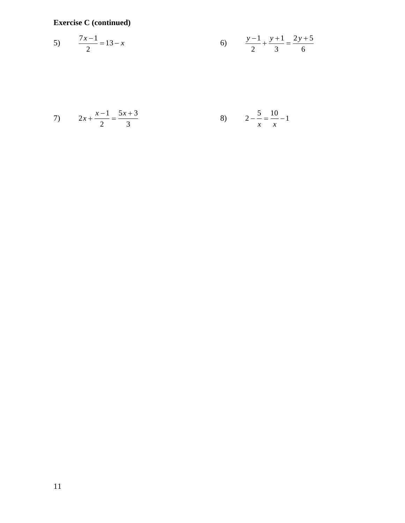**Exercise C (continued)**

5) 
$$
\frac{7x-1}{2} = 13 - x
$$
 6) 
$$
\frac{y-1}{2} + \frac{y+1}{3} = \frac{2y+5}{6}
$$

7) 
$$
2x + \frac{x-1}{2} = \frac{5x+3}{3}
$$
   
8)  $2 - \frac{5}{x} = \frac{10}{x} - 1$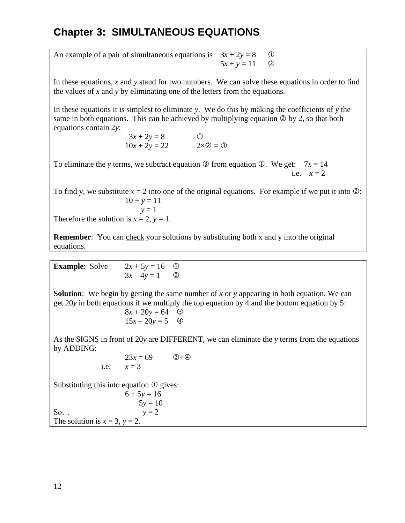# **Chapter 3: SIMULTANEOUS EQUATIONS**

An example of a pair of simultaneous equations is  $3x + 2y = 8$  ①  $5x + y = 11$  (2)

In these equations, *x* and *y* stand for two numbers. We can solve these equations in order to find the values of *x* and *y* by eliminating one of the letters from the equations.

In these equations it is simplest to eliminate *y*. We do this by making the coefficients of *y* the same in both equations. This can be achieved by multiplying equation  $\circledcirc$  by 2, so that both equations contain 2*y*:

> $3x + 2y = 8$  ①  $10x + 2y = 22$   $2 \times 2 = 3$

To eliminate the *y* terms, we subtract equation  $\circled{3}$  from equation  $\circled{0}$ . We get:  $7x = 14$ i.e.  $x = 2$ 

To find y, we substitute  $x = 2$  into one of the original equations. For example if we put it into  $\oslash$ :  $10 + y = 11$  $y = 1$ 

Therefore the solution is  $x = 2$ ,  $y = 1$ .

**Remember:** You can check your solutions by substituting both x and y into the original equations.

| <b>Example:</b> Solve | $2x + 5y = 16$ ① |  |
|-----------------------|------------------|--|
|                       | $3x-4y=1$ (2)    |  |

**Solution**: We begin by getting the same number of *x* or *y* appearing in both equation. We can get 20*y* in both equations if we multiply the top equation by 4 and the bottom equation by 5:

$$
8x + 20y = 64
$$
 ③  

$$
15x - 20y = 5
$$
 ④

As the SIGNS in front of 20*y* are DIFFERENT, we can eliminate the *y* terms from the equations by ADDING:

$$
23x = 69 \t 3+40
$$
  
i.e.  $x = 3$ 

Substituting this into equation  $\Phi$  gives:

 $6 + 5y = 16$  $5y = 10$ So...  $y = 2$ The solution is  $x = 3$ ,  $y = 2$ .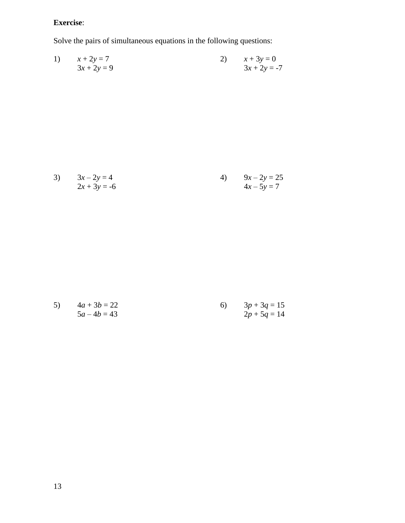### **Exercise**:

Solve the pairs of simultaneous equations in the following questions:

1) 
$$
x + 2y = 7
$$
  
  $3x + 2y = 9$   
2)  $x + 3y = 0$   
  $3x + 2y = -7$ 

3) 
$$
3x-2y = 4
$$
  
\n $2x + 3y = -6$   
\n4)  $9x-2y = 25$   
\n $4x-5y = 7$ 

5) 
$$
4a + 3b = 22
$$
  
\n $5a - 4b = 43$   
\n $2p + 5q = 14$   
\n $5a - 4b = 43$   
\n $5a - 4b = 43$   
\n $5a - 4b = 43$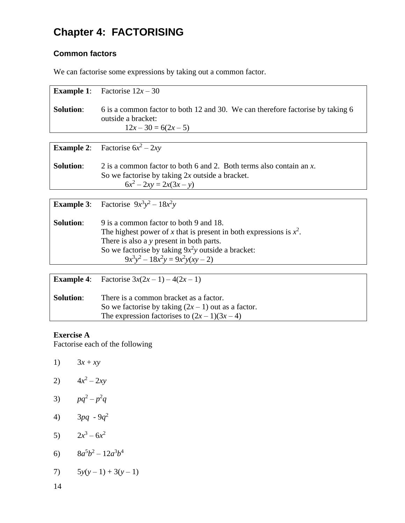# **Chapter 4: FACTORISING**

### **Common factors**

We can factorise some expressions by taking out a common factor.

| <b>Example 1:</b> | Factorise $12x - 30$                                                                                                                                  |
|-------------------|-------------------------------------------------------------------------------------------------------------------------------------------------------|
| <b>Solution:</b>  | 6 is a common factor to both 12 and 30. We can therefore factorise by taking 6<br>outside a bracket:<br>$12x-30=6(2x-5)$                              |
|                   |                                                                                                                                                       |
|                   | <b>Example 2:</b> Factorise $6x^2 - 2xy$                                                                                                              |
| <b>Solution:</b>  | 2 is a common factor to both 6 and 2. Both terms also contain an x.<br>So we factorise by taking $2x$ outside a bracket.<br>$6x^2 - 2xy = 2x(3x - y)$ |

|                  | <b>Example 3:</b> Factorise $9x^3y^2 - 18x^2y$                                                                                                                                                                                                            |
|------------------|-----------------------------------------------------------------------------------------------------------------------------------------------------------------------------------------------------------------------------------------------------------|
| <b>Solution:</b> | 9 is a common factor to both 9 and 18.<br>The highest power of x that is present in both expressions is $x^2$ .<br>There is also a y present in both parts.<br>So we factorise by taking $9x^2y$ outside a bracket:<br>$9x^3y^2 - 18x^2y = 9x^2y(xy - 2)$ |

|                  | <b>Example 4:</b> Factorise $3x(2x - 1) - 4(2x - 1)$                                                                                           |
|------------------|------------------------------------------------------------------------------------------------------------------------------------------------|
| <b>Solution:</b> | There is a common bracket as a factor.<br>So we factorise by taking $(2x - 1)$ out as a factor.<br>The expression factorises to $(2x-1)(3x-4)$ |

### **Exercise A**

Factorise each of the following

1) 
$$
3x + xy
$$
  
\n2)  $4x^2 - 2xy$   
\n3)  $pq^2 - p^2q$   
\n4)  $3pq - 9q^2$   
\n5)  $2x^3 - 6x^2$   
\n6)  $8a^5b^2 - 12a^3b^4$ 

7) 
$$
5y(y-1) + 3(y-1)
$$

14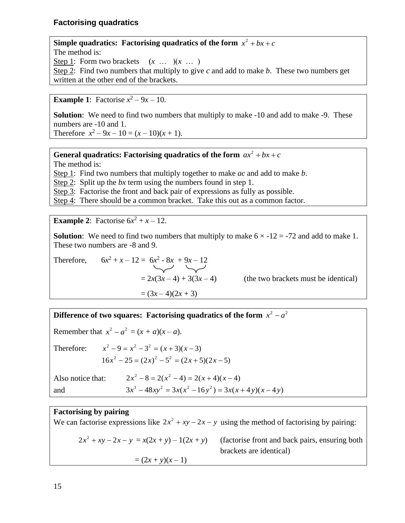### **Factorising quadratics**

**Simple quadratics: Factorising quadratics of the form**  $x^2 + bx + c$ The method is: Step 1: Form two brackets  $(x \dots)(x \dots)$ Step 2: Find two numbers that multiply to give *c* and add to make *b*. These two numbers get written at the other end of the brackets.

**Example 1**: Factorise  $x^2 - 9x - 10$ .

**Solution**: We need to find two numbers that multiply to make -10 and add to make -9. These numbers are -10 and 1. Therefore  $x^2 - 9x - 10 = (x - 10)(x + 1)$ .

**General quadratics: Factorising quadratics of the form**  $ax^2 + bx + c$ 

The method is:

Step 1: Find two numbers that multiply together to make *ac* and add to make *b*.

Step 2: Split up the *bx* term using the numbers found in step 1.

Step 3: Factorise the front and back pair of expressions as fully as possible.

Step 4: There should be a common bracket. Take this out as a common factor.

**Example 2:** Factorise  $6x^2 + x - 12$ .

**Solution**: We need to find two numbers that multiply to make  $6 \times -12 = -72$  and add to make 1. These two numbers are -8 and 9.

Therefore, 
$$
6x^2 + x - 12 = 6x^2 - 8x + 9x - 12
$$
  
=  $2x(3x - 4) + 3(3x - 4)$   
=  $(3x - 4)(2x + 3)$ 

(the two brackets must be identical)

**Difference of two squares: Factorising quadratics of the form**  $x^2 - a^2$ 

Remember that  $x^2 - a^2 = (x + a)(x - a)$ .

Therefore:  $x^{2} - 9 = x^{2} - 3^{2} = (x + 3)(x - 3)$  $16x^{2} - 25 = (2x)^{2} - 5^{2} = (2x + 5)(2x - 5)$ 

| Also notice that: | $2x^{2}-8=2(x^{2}-4)=2(x+4)(x-4)$                  |
|-------------------|----------------------------------------------------|
| and               | $3x^3 - 48xy^2 = 3x(x^2 - 16y^2) = 3x(x+4y)(x-4y)$ |

### **Factorising by pairing**

We can factorise expressions like  $2x^2 + xy - 2x - y$  using the method of factorising by pairing:  $2x^2$ *z* (*factorise front and back pairs, ensuring both* brackets are identical)  $=(2x + y)(x - 1)$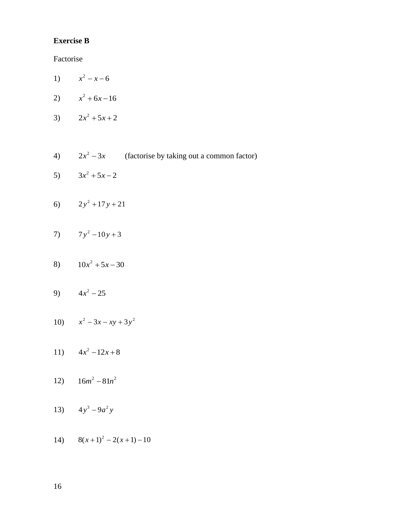### **Exercise B**

Factorise

- 1)  $x^2 x 6$
- 2)  $x^2 + 6x 16$
- 3)  $2x^2 + 5x + 2$
- 4)  $2x^2 3x$  (factorise by taking out a common factor)
- 5)  $3x^2 + 5x - 2$
- 6)  $2y^2 + 17y + 21$
- $7y^2 10y + 3$
- 8)  $10x^2 + 5x 30$
- 9)  $4x^2 25$
- 10)  $x^2 3x xy + 3y^2$
- 11)  $4x^2 12x + 8$
- 12)  $16m^2 81n^2$
- 13)  $4y^3 9a^2y$
- 14)  $8(x+1)^2 2(x+1) 10$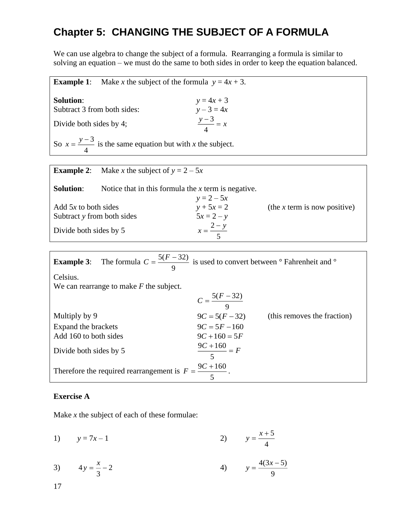# **Chapter 5: CHANGING THE SUBJECT OF A FORMULA**

We can use algebra to change the subject of a formula. Rearranging a formula is similar to solving an equation – we must do the same to both sides in order to keep the equation balanced.

**Example 1:** Make *x* the subject of the formula  $y = 4x + 3$ . **Solution:**  $y = 4x + 3$ <br> **Subtract 3 from both sides:**  $y - 3 = 4x$ Subtract 3 from both sides: Divide both sides by 4; 3 4  $\frac{y-3}{x} = x$ So  $x = \frac{y-3}{1}$ 4  $x = \frac{y-3}{y}$  is the same equation but with *x* the subject.

|                                                      | <b>Example 2:</b> Make x the subject of $y = 2 - 5x$  |                              |                                |
|------------------------------------------------------|-------------------------------------------------------|------------------------------|--------------------------------|
| <b>Solution:</b>                                     | Notice that in this formula the $x$ term is negative. | $y = 2 - 5x$                 |                                |
| Add $5x$ to both sides<br>Subtract y from both sides |                                                       | $y + 5x = 2$<br>$5x = 2 - y$ | (the $x$ term is now positive) |
| Divide both sides by 5                               |                                                       | $x = \frac{2-y}{5}$          |                                |

| <b>Example 3:</b> The formula $C = \frac{5(F-32)}{9}$ is used to convert between $\degree$ Fahrenheit and $\degree$ |                         |                             |
|---------------------------------------------------------------------------------------------------------------------|-------------------------|-----------------------------|
| Celsius.                                                                                                            |                         |                             |
| We can rearrange to make $F$ the subject.                                                                           |                         |                             |
|                                                                                                                     | $C = \frac{5(F-32)}{9}$ |                             |
| Multiply by 9                                                                                                       | $9C = 5(F - 32)$        | (this removes the fraction) |
| Expand the brackets                                                                                                 | $9C = 5F - 160$         |                             |
| Add 160 to both sides                                                                                               | $9C+160=5F$             |                             |
| Divide both sides by 5                                                                                              | $\frac{9C+160}{5} = F$  |                             |
| Therefore the required rearrangement is $F = \frac{9C + 160}{5}$ .                                                  |                         |                             |

### **Exercise A**

Make *x* the subject of each of these formulae:

1)  $y = 7x - 1$ 5 4  $y = \frac{x}{x}$  $=\frac{x+}{}$ 

3) 
$$
4y = \frac{x}{3} - 2
$$
 4)  $y = \frac{4(3x - 5)}{9}$ 

17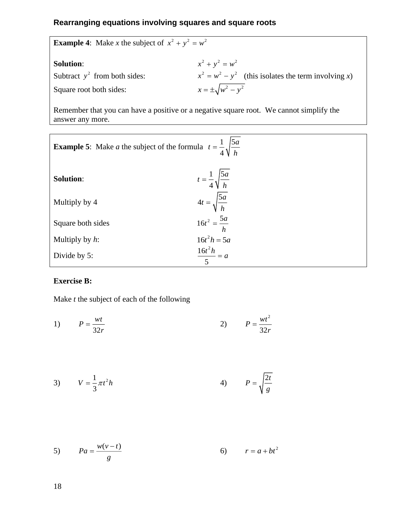### **Rearranging equations involving squares and square roots**

| <b>Example 4:</b> Make x the subject of $x^2 + y^2 = w^2$ |                                                                                         |  |  |
|-----------------------------------------------------------|-----------------------------------------------------------------------------------------|--|--|
| <b>Solution:</b>                                          | $x^{2} + y^{2} = w^{2}$                                                                 |  |  |
| Subtract $y^2$ from both sides:                           | $x^{2} = w^{2} - y^{2}$ (this isolates the term involving x)                            |  |  |
| Square root both sides:                                   | $x = \pm \sqrt{w^2 - y^2}$                                                              |  |  |
| answer any more.                                          | Remember that you can have a positive or a negative square root. We cannot simplify the |  |  |
|                                                           |                                                                                         |  |  |

| <b>Example 5:</b> Make <i>a</i> the subject of the formula $t = \frac{1}{4} \sqrt{\frac{5a}{h}}$ |                                       |
|--------------------------------------------------------------------------------------------------|---------------------------------------|
| <b>Solution:</b>                                                                                 | $t = \frac{1}{4} \sqrt{\frac{5a}{h}}$ |
| Multiply by 4                                                                                    | $4t = \sqrt{\frac{5a}{h}}$            |
| Square both sides                                                                                | $16t^2 = \frac{5a}{h}$                |
| Multiply by $h$ :                                                                                | $16t^2h = 5a$                         |
| Divide by 5:                                                                                     | $\frac{16t^2h}{5} = a$                |

### **Exercise B:**

Make *t* the subject of each of the following

1) 
$$
P = \frac{wt}{32r}
$$
 2) 
$$
P = \frac{wt^2}{32r}
$$

$$
V = \frac{1}{3}\pi t^2 h
$$

$$
5) \t Pa = \frac{w(v-t)}{g} \t 6) \t r = a + bt^2
$$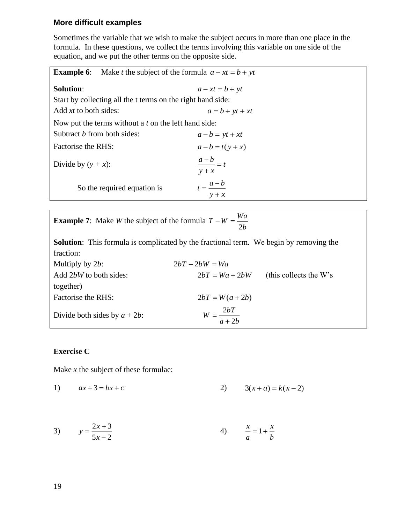### **More difficult examples**

Sometimes the variable that we wish to make the subject occurs in more than one place in the formula. In these questions, we collect the terms involving this variable on one side of the equation, and we put the other terms on the opposite side.

| Make <i>t</i> the subject of the formula $a - xt = b + yt$<br><b>Example 6:</b> |                                |
|---------------------------------------------------------------------------------|--------------------------------|
| <b>Solution:</b>                                                                | $a - xt = b + yt$              |
| Start by collecting all the t terms on the right hand side:                     |                                |
| Add xt to both sides:                                                           | $a = b + yt + xt$              |
| Now put the terms without a t on the left hand side:                            |                                |
| Subtract <i>b</i> from both sides:                                              | $a-b = yt + xt$                |
| Factorise the RHS:                                                              | $a-b = t(y + x)$               |
| Divide by $(y + x)$ :                                                           | $\frac{a-b}{a} = t$<br>$y + x$ |
| So the required equation is                                                     | $t=\frac{a-b}{a}$<br>$y + x$   |

| <b>Example 7:</b> Make <i>W</i> the subject of the formula $T - W = \frac{Wa}{m}$ |  |  |
|-----------------------------------------------------------------------------------|--|--|
|                                                                                   |  |  |

**Solution**: This formula is complicated by the fractional term. We begin by removing the fraction:

| Multiply by $2b$ :              | $2bT - 2bW = Wa$       |                           |
|---------------------------------|------------------------|---------------------------|
| Add 2bW to both sides:          | $2bT = Wa + 2bW$       | (this collects the $W$ 's |
| together)                       |                        |                           |
| Factorise the RHS:              | $2bT = W(a + 2b)$      |                           |
| Divide both sides by $a + 2b$ : | $W = \frac{2bT}{a+2b}$ |                           |

### **Exercise C**

Make *x* the subject of these formulae:

1) 
$$
ax+3=bx+c
$$
 2)  $3(x+a)=k(x-2)$ 

3) 
$$
y = \frac{2x+3}{5x-2}
$$
 4)  $\frac{x}{a} = 1 + \frac{x}{b}$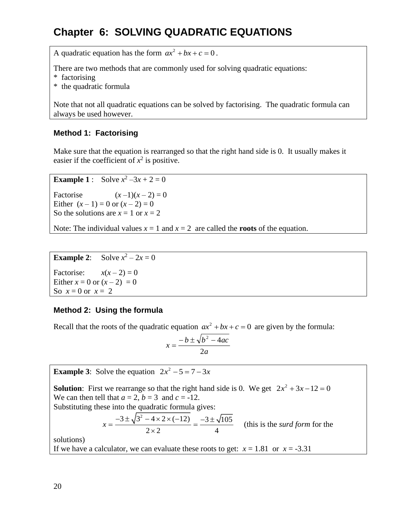# **Chapter 6: SOLVING QUADRATIC EQUATIONS**

A quadratic equation has the form  $ax^2 + bx + c = 0$ .

There are two methods that are commonly used for solving quadratic equations:

- \* factorising
- \* the quadratic formula

Note that not all quadratic equations can be solved by factorising. The quadratic formula can always be used however.

### **Method 1: Factorising**

Make sure that the equation is rearranged so that the right hand side is 0. It usually makes it easier if the coefficient of  $x^2$  is positive.

**Example 1** : Solve  $x^2 - 3x + 2 = 0$ 

Factorise  $(x-1)(x-2) = 0$ Either  $(x - 1) = 0$  or  $(x - 2) = 0$ So the solutions are  $x = 1$  or  $x = 2$ 

Note: The individual values  $x = 1$  and  $x = 2$  are called the **roots** of the equation.

**Example 2:** Solve  $x^2 - 2x = 0$ 

Factorise:  $x(x-2) = 0$ Either  $x = 0$  or  $(x - 2) = 0$ So  $x = 0$  or  $x = 2$ 

### **Method 2: Using the formula**

Recall that the roots of the quadratic equation  $ax^2 + bx + c = 0$  are given by the formula:

$$
x = \frac{-b \pm \sqrt{b^2 - 4ac}}{2a}
$$

**Example 3:** Solve the equation  $2x^2 - 5 = 7 - 3x$ **Solution**: First we rearrange so that the right hand side is 0. We get  $2x^2 + 3x - 12 = 0$ We can then tell that  $a = 2$ ,  $b = 3$  and  $c = -12$ . Substituting these into the quadratic formula gives:  $3 \pm \sqrt{3^2 - 4 \times 2 \times (-12)}$   $-3 \pm \sqrt{105}$  $x = \frac{-3 \pm \sqrt{3^2 - 4 \times 2 \times (-12)}}{2 \times 2} = \frac{-3 \pm \sqrt{3}}{4}$  $\frac{12\pi(12)}{12} = \frac{3 \pm \sqrt{103}}{4}$  (this is the *surd form* for the solutions) If we have a calculator, we can evaluate these roots to get:  $x = 1.81$  or  $x = -3.31$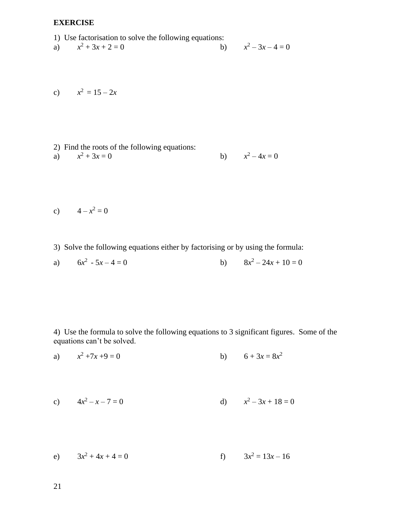### **EXERCISE**

- 
- 1) Use factorisation to solve the following equations:<br>a)  $x^2 + 3x + 2 = 0$  b) a) *x*  $x^2 + 3x + 2 = 0$  $x^2-3x-4=0$

$$
x^2 = 15 - 2x
$$

2) Find the roots of the following equations: a) *x*  $x^2 + 3x = 0$  $2^2 - 4x = 0$ 

$$
c) \qquad 4 - x^2 = 0
$$

3) Solve the following equations either by factorising or by using the formula:

a) 
$$
6x^2 - 5x - 4 = 0
$$
 b)  $8x^2 - 24x + 10 = 0$ 

4) Use the formula to solve the following equations to 3 significant figures. Some of the equations can't be solved.

a) 
$$
x^2 + 7x + 9 = 0
$$
 b)  $6 + 3x = 8x^2$ 

c) 
$$
4x^2 - x - 7 = 0
$$
 d)  $x^2 - 3x + 18 = 0$ 

e)  $3x^2 + 4x + 4 = 0$  f)  $3x$ f)  $3x^2 = 13x - 16$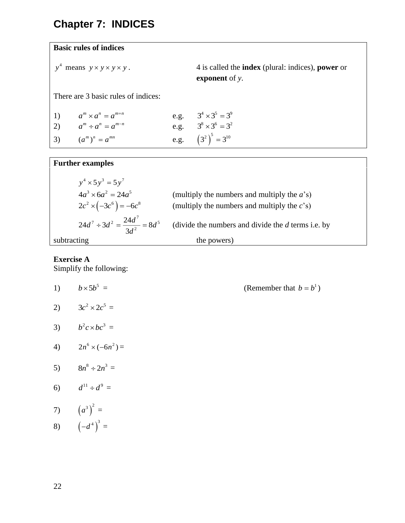# **Chapter 7: INDICES**

### **Basic rules of indices**

$$
y^4
$$
 means  $y \times y \times y \times y$ .

*<sup>y</sup> <sup>y</sup> <sup>y</sup> <sup>y</sup> <sup>y</sup>* means . 4 is called the **index** (plural: indices), **power** or **exponent** of *y*.

 $b = b^1$ 

There are 3 basic rules of indices:

| 1) $a^m \times a^n = a^{m+n}$ | e.g. $3^4 \times 3^5 = 3^9$ |
|-------------------------------|-----------------------------|
| 2) $a^m \div a^n = a^{m-n}$   | e.g. $3^8 \times 3^6 = 3^2$ |
| 3) $(a^m)^n = a^{mn}$         | e.g. $(3^2)^3 = 3^{10}$     |

# **Further examples**

| $v^4 \times 5v^3 = 5v^7$                      |                                                      |
|-----------------------------------------------|------------------------------------------------------|
| $4a^3 \times 6a^2 = 24a^5$                    | (multiply the numbers and multiply the $a$ 's)       |
| $2c^2 \times (-3c^6) = -6c^8$                 | (multiply the numbers and multiply the $c$ 's)       |
| $24d^7 \div 3d^2 = \frac{24d^7}{3d^2} = 8d^5$ | (divide the numbers and divide the $d$ terms i.e. by |
| subtracting                                   | the powers)                                          |

## **Exercise A**

Simplify the following:

1) 
$$
b \times 5b^5 =
$$
 (Remember that  
\n2)  $3c^2 \times 2c^5 =$   
\n3)  $b^2c \times bc^3 =$   
\n4)  $2n^6 \times (-6n^2) =$   
\n5)  $8n^8 \div 2n^3 =$   
\n6)  $d^{11} \div d^9 =$   
\n7)  $(a^3)^2 =$ 

8)  $(-d^4)^3 =$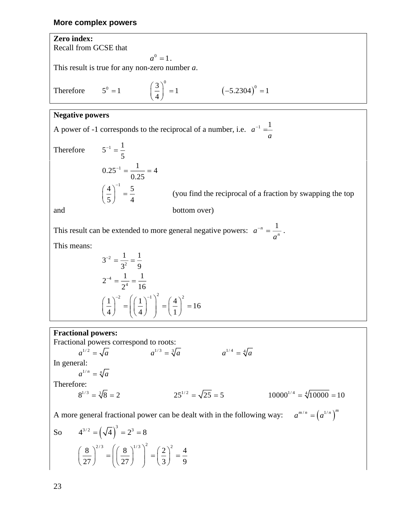#### **More complex powers**

**Zero index:** Recall from GCSE that  $a^0 = 1$ . This result is true for any non-zero number *a*. Therefore  $(-5.2304)$  $5^{\circ} = 1$   $\left(\frac{3}{2}\right)^{\circ} = 1$   $\left(-5.2304\right)^{\circ} = 1$ 4  $(3)$  $5^0 = 1$  $\left(\frac{1}{4}\right) = 1$   $\left(-5.2304\right) =$ **Negative powers** A power of -1 corresponds to the reciprocal of a number, i.e.  $a^{-1} = \frac{1}{a}$ *a* − =

Therefore  $5^{-1} = \frac{1}{1}$ 5  $^{-1}$  =  $0.25^{-1} = \frac{1}{1} = 4$ 0.25  $^{-1}$  = —— =  $4$   $\big)$ <sup>-1</sup> 5 5 4  $\left(\frac{4}{5}\right)^{-1}$  =

(you find the reciprocal of a fraction by swapping the top

and bottom over)

This result can be extended to more general negative powers:  $a^{-n} = \frac{1}{a^{-n}}$  $a =$ *a*  $n = \frac{1}{n}$ .

This means:

$$
3^{-2} = \frac{1}{3^2} = \frac{1}{9}
$$
  
\n
$$
2^{-4} = \frac{1}{2^4} = \frac{1}{16}
$$
  
\n
$$
\left(\frac{1}{4}\right)^{-2} = \left(\left(\frac{1}{4}\right)^{-1}\right)^2 = \left(\frac{4}{1}\right)^2 = 16
$$

### **Fractional powers:**

Fractional powers correspond to roots:<br> $a^{1/2} = \sqrt{a}$   $a^{1/3} = \sqrt[3]{a}$  $a^{1/2} = \sqrt{a}$   $a^{1/3} = \sqrt[3]{a}$   $a^{1/4} = \sqrt[4]{a}$ In general:  $a^{1/n} = \sqrt[n]{a}$ Therefore:  $8^{1/3} = \sqrt[3]{8} = 2$  $25^{1/2} = \sqrt{25} = 5$   $10000^{1/4} = \sqrt[4]{10000} = 10$ 

A more general fractional power can be dealt with in the following way:  $a^{m/n} = (a^{1/n})^m$ 

So 
$$
4^{3/2} = (\sqrt{4})^3 = 2^3 = 8
$$
  

$$
\left(\frac{8}{27}\right)^{2/3} = \left(\left(\frac{8}{27}\right)^{1/3}\right)^2 = \left(\frac{2}{3}\right)^2 = \frac{4}{9}
$$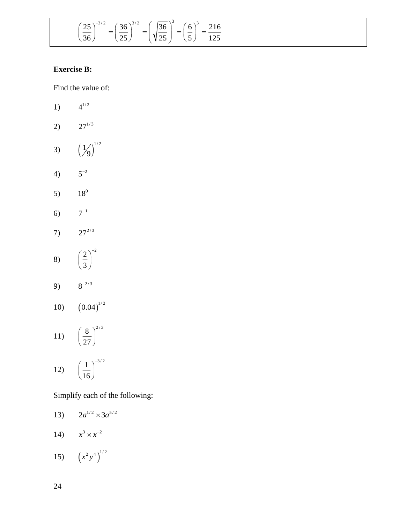$$
\left(\frac{25}{36}\right)^{-3/2} = \left(\frac{36}{25}\right)^{3/2} = \left(\sqrt{\frac{36}{25}}\right)^3 = \left(\frac{6}{5}\right)^3 = \frac{216}{125}
$$

### **Exercise B:**

|                    | 3<br>$\left(\frac{25}{36}\right)^{-3/2} = \left(\frac{36}{25}\right)^{3/2} = \left(\sqrt{\frac{36}{25}}\right)^3$ |
|--------------------|-------------------------------------------------------------------------------------------------------------------|
| <b>Exercise B:</b> |                                                                                                                   |
|                    | Find the value of:                                                                                                |
| 1)                 | $4^{1/2}$                                                                                                         |
| 2)                 | $27^{1/3}$                                                                                                        |
| 3)                 | $\left(\frac{1}{9}\right)^{1/2}$                                                                                  |
| 4)                 | $5^{-2}$                                                                                                          |
| 5)                 | $18^0$                                                                                                            |
| 6)                 | $7^{-1}$                                                                                                          |
| 7)                 | $27^{2/3}$                                                                                                        |
| 8)                 | $\left(\frac{2}{3}\right)^{-2}$                                                                                   |
| 9)                 | $8^{-2/3}$                                                                                                        |
| 10)                | $(0.04)^{1/2}$                                                                                                    |
|                    | 11) $\left(\frac{8}{27}\right)^{2/3}$                                                                             |
| 12)                | $\left(\frac{1}{16}\right)^{-3/2}$                                                                                |
|                    | Simplify each of the following:                                                                                   |
| 13)                | $2a^{1/2} \times 3a^{5/2}$                                                                                        |
|                    | 14) $x^3 \times x^{-2}$                                                                                           |
|                    | 15) $(x^2y^4)^{1/2}$                                                                                              |
| 24                 |                                                                                                                   |

- 13)  $2a^{1/2} \times 3a^{5/2}$
- 14)  $x^3 \times x^{-2}$
- 15)  $(x^2 y^4)^{1/2}$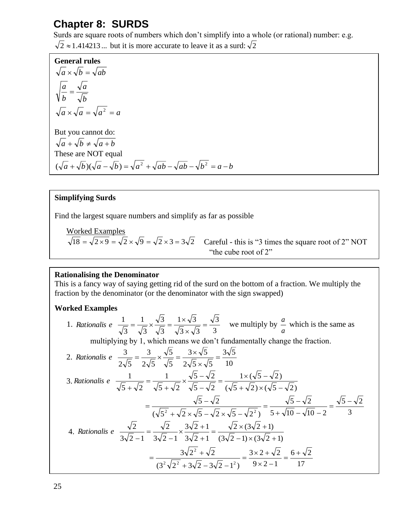## **Chapter 8: SURDS**

Surds are square roots of numbers which don't simplify into a whole (or rational) number: e.g.

 $2 \approx 1.414213...$  but it is more accurate to leave it as a surd:  $\sqrt{2}$ 

**General rules** *b a b*  $\frac{a}{a}$  =  $a \times \sqrt{b} = \sqrt{ab}$  $a \times \sqrt{a} = \sqrt{a^2} = a$ But you cannot do:  $\sqrt{a} + \sqrt{b} \neq \sqrt{a+b}$ These are NOT equal  $(\sqrt{a} + \sqrt{b})(\sqrt{a} - \sqrt{b}) = \sqrt{a^2 + \sqrt{ab} - \sqrt{ab} - \sqrt{b^2}} = a - b$ 

### **Simplifying Surds**

Find the largest square numbers and simplify as far as possible

Worked Examples<br> $\sqrt{18} = \sqrt{2 \times 9} = \sqrt{2} \times \sqrt{9} = \sqrt{2} \times 3 = 3\sqrt{2}$ Careful - this is "3 times the square root of 2" NOT "the cube root of 2"

### **Rationalising the Denominator**

This is a fancy way of saying getting rid of the surd on the bottom of a fraction. We multiply the fraction by the denominator (or the denominator with the sign swapped)

### **Worked Examples**

1. Rationalis 
$$
e = \frac{1}{\sqrt{3}} = \frac{1}{\sqrt{3}} \times \frac{\sqrt{3}}{\sqrt{3}} = \frac{1 \times \sqrt{3}}{\sqrt{3} \times \sqrt{3}} = \frac{\sqrt{3}}{3}
$$
 we multiply by  $\frac{a}{a}$  which is the same as

multiplying by 1, which means we don't fundamentally change the fraction.

2. Rationalis 
$$
e \frac{3}{2\sqrt{5}} = \frac{3}{2\sqrt{5}} \times \frac{\sqrt{5}}{\sqrt{5}} = \frac{3 \times \sqrt{5}}{2\sqrt{5} \times \sqrt{5}} = \frac{3\sqrt{5}}{10}
$$
  
\n3. Rationalis  $e \frac{1}{\sqrt{5} + \sqrt{2}} = \frac{1}{\sqrt{5} + \sqrt{2}} \times \frac{\sqrt{5} - \sqrt{2}}{\sqrt{5} - \sqrt{2}} = \frac{1 \times (\sqrt{5} - \sqrt{2})}{(\sqrt{5} + \sqrt{2}) \times (\sqrt{5} - \sqrt{2})}$   
\n $= \frac{\sqrt{5} - \sqrt{2}}{(\sqrt{5} + \sqrt{2}) \times (\sqrt{5} - \sqrt{2}) \times (\sqrt{5} - \sqrt{2})} = \frac{\sqrt{5} - \sqrt{2}}{5 + \sqrt{10} - \sqrt{10} - 2} = \frac{\sqrt{5} - \sqrt{2}}{3}$   
\n4. Rationalis  $e \frac{\sqrt{2}}{3\sqrt{2} - 1} = \frac{\sqrt{2}}{3\sqrt{2} - 1} \times \frac{3\sqrt{2} + 1}{3\sqrt{2} + 1} = \frac{\sqrt{2} \times (3\sqrt{2} + 1)}{(3\sqrt{2} - 1) \times (3\sqrt{2} + 1)}$   
\n $= \frac{3\sqrt{2^2} + \sqrt{2}}{(3^2\sqrt{2^2} + 3\sqrt{2} - 3\sqrt{2} - 1^2)} = \frac{3 \times 2 + \sqrt{2}}{9 \times 2 - 1} = \frac{6 + \sqrt{2}}{17}$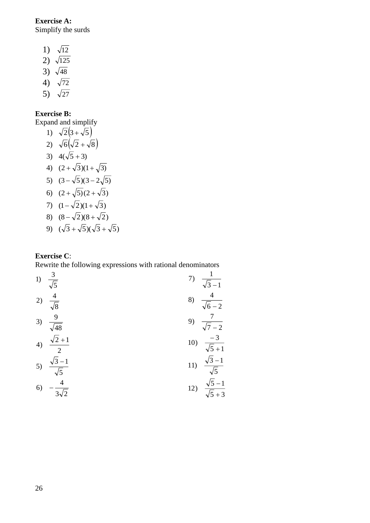**Exercise A:** Simplify the surds

- 1)  $\sqrt{12}$
- 2)  $\sqrt{125}$
- 3)  $\sqrt{48}$
- 4)  $\sqrt{72}$
- 5)  $\sqrt{27}$

### **Exercise B:**

Expand and simplify

1)  $\sqrt{2}(3+\sqrt{5})$ 2)  $\sqrt{6}(\sqrt{2} + \sqrt{8})$ 3)  $4(\sqrt{5}+3)$ 4)  $(2 + \sqrt{3})(1 + \sqrt{3})$ 5)  $(3-\sqrt{5})(3-2\sqrt{5})$ 6)  $(2+\sqrt{5})(2+\sqrt{3})$  $7)$   $(1-\sqrt{2})(1+\sqrt{3})$ 8)  $(8-\sqrt{2})(8+\sqrt{2})$ 9)  $(\sqrt{3} + \sqrt{5})(\sqrt{3} + \sqrt{5})$ 

### **Exercise C**:

Rewrite the following expressions with rational denominators

1) 
$$
\frac{3}{\sqrt{5}}
$$
  
\n2)  $\frac{4}{\sqrt{8}}$   
\n3)  $\frac{9}{\sqrt{48}}$   
\n4)  $\frac{\sqrt{2}+1}{2}$   
\n5)  $\frac{\sqrt{3}-1}{\sqrt{5}}$   
\n6)  $-\frac{4}{3\sqrt{2}}$   
\n7)  $\frac{1}{\sqrt{3}-1}$   
\n8)  $\frac{4}{\sqrt{6}-2}$   
\n9)  $\frac{7}{\sqrt{7}-2}$   
\n10)  $\frac{-3}{\sqrt{5}+1}$   
\n11)  $\frac{\sqrt{3}-1}{\sqrt{5}}$   
\n12)  $\frac{\sqrt{5}-1}{\sqrt{5}+3}$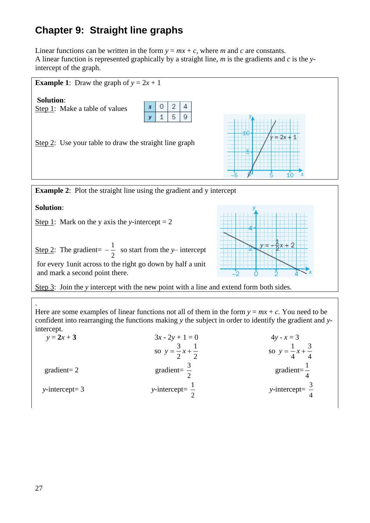# **Chapter 9: Straight line graphs**

Linear functions can be written in the form  $y = mx + c$ , where *m* and *c* are constants. A linear function is represented graphically by a straight line, *m* is the gradients and *c* is the *y*intercept of the graph.



**Example 2:** Plot the straight line using the gradient and y intercept

**Solution**:

Step 1: Mark on the *y* axis the *y*-intercept  $= 2$ 

| <u>Step 2</u> : The gradient= $-\frac{1}{x}$ so start from the y- intercept                   |
|-----------------------------------------------------------------------------------------------|
| for every 1 unit across to the right go down by half a unit<br>and mark a second point there. |



. Here are some examples of linear functions not all of them in the form  $y = mx + c$ . You need to be confident into rearranging the functions making *y* the subject in order to identify the gradient and *y*intercept.

| $y = 2x + 3$      | $3x - 2y + 1 = 0$                   | $4y - x = 3$                        |
|-------------------|-------------------------------------|-------------------------------------|
|                   | so $y = \frac{3}{2}x + \frac{1}{2}$ | so $y = \frac{1}{4}x + \frac{3}{4}$ |
| $gradient=2$      | gradient= $\frac{3}{2}$             | gradient= $\frac{1}{4}$             |
| $y-intercept = 3$ | y-intercept= $\frac{1}{2}$          | y-intercept= $\frac{3}{4}$          |

| ۰. |
|----|
|    |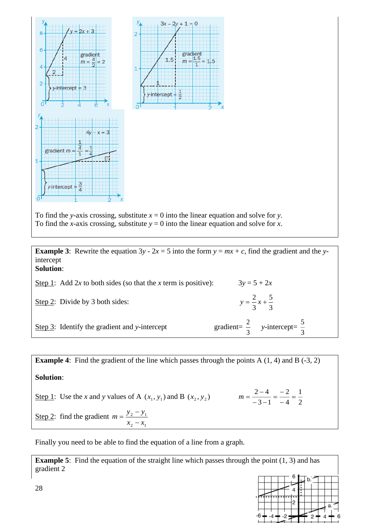

To find the *y*-axis crossing, substitute  $x = 0$  into the linear equation and solve for *y*. To find the *x*-axis crossing, substitute  $y = 0$  into the linear equation and solve for *x*.

**Example 3**: Rewrite the equation  $3y - 2x = 5$  into the form  $y = mx + c$ , find the gradient and the *y*intercept **Solution**:

| Step 1: Add 2x to both sides (so that the x term is positive): | $3y = 5 + 2x$                                      |
|----------------------------------------------------------------|----------------------------------------------------|
| Step 2: Divide by 3 both sides:                                | $y = \frac{2}{3}x + \frac{5}{3}$                   |
| Step $3$ : Identify the gradient and y-intercept               | gradient= $\frac{2}{3}$ y-intercept= $\frac{5}{3}$ |

**Example 4:** Find the gradient of the line which passes through the points A (1, 4) and B (-3, 2) **Solution**: Step 1: Use the *x* and *y* values of A  $(x_1, y_1)$  and B  $(x_2, y_2)$   $m = \frac{2}{-3-1} = \frac{2}{-4} = \frac{2}{2}$ 1 4 2  $3 - 1$  $\frac{2-4}{-3-1} = \frac{-2}{-4} =$  $\frac{2-4}{-3-1} = \frac{-1}{-}$  $m = \frac{2-4}{2} = \frac{-2}{4} = \frac{1}{4}$ Step 2: find the gradient 2  $\mathcal{N}_1$ 2  $\lambda$  1  $x_{\circ} - x$  $m = \frac{y_2 - y}{x_2 - x}$  $=\frac{y_2-y_1}{x_2-x_1}$ 

Finally you need to be able to find the equation of a line from a graph.

**Example 5**: Find the equation of the straight line which passes through the point (1, 3) and has gradient 2

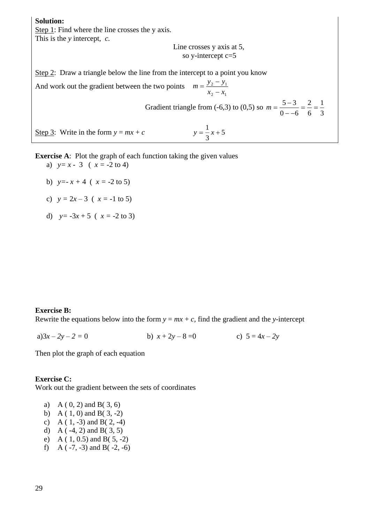**Solution:** Step 1: Find where the line crosses the y axis. This is the *y* intercept, *c.*

Line crosses y axis at 5, so y-intercept c=5

Step 2: Draw a triangle below the line from the intercept to a point you know

And work out the gradient between the two points 2  $\mathcal{N}_1$ 2  $y_1$  $x_{\circ} - x$  $m = \frac{y_2 - y}{x_2 - x}$  $=\frac{y_2-}{x_2-}$ Gradient triangle from  $(-6,3)$  to  $(0,5)$  so 3 1 6 2  $0 - -6$  $\frac{5-3}{2}$  =  $\frac{2}{3}$  = − −  $m = \frac{5 - 5m}{2}$ Step 3: Write in the form  $y = mx + c$ 5 3 1  $y = -x +$ 

**Exercise A:** Plot the graph of each function taking the given values

- a)  $y=x-3(x) = -2 \text{ to } 4$
- b)  $y=-x+4$  ( $x=-2$  to 5)
- c)  $y = 2x 3$  ( $x = -1$  to 5)
- d)  $y = -3x + 5$  ( $x = -2$  to 3)

### **Exercise B:**

Rewrite the equations below into the form  $y = mx + c$ , find the gradient and the *y*-intercept

a) $3x - 2y - 2 = 0$  b)  $x + 2y - 8 = 0$  c)  $5 = 4x - 2y$ 

Then plot the graph of each equation

### **Exercise C:**

Work out the gradient between the sets of coordinates

- a) A ( 0, 2) and B( 3, 6)
- b) A ( 1, 0) and B( 3, -2)
- c) A ( $1, -3$ ) and B( $2, -4$ )
- d) A ( $-4$ , 2) and B( $3$ , 5)
- e) A ( 1, 0.5) and B( 5, -2)
- f) A  $(-7, -3)$  and B $(-2, -6)$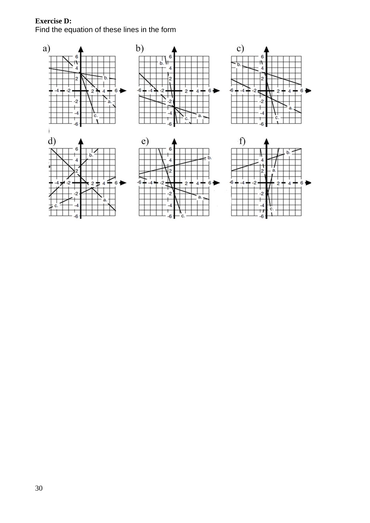### **Exercise D:**  Find the equation of these lines in the form

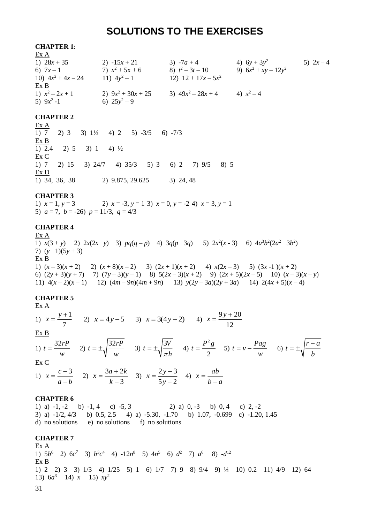### **SOLUTIONS TO THE EXERCISES**

#### **CHAPTER 1:**

| Ex A                 |                      |                       |                        |           |
|----------------------|----------------------|-----------------------|------------------------|-----------|
| 1) $28x + 35$        | 2) $-15x + 21$       | 3) $-7a + 4$          | 4) $6y + 3y^2$         | 5) $2x-4$ |
| 6) $7x-1$            | 7) $x^2 + 5x + 6$    | 8) $t^2-3t-10$        | 9) $6x^2 + xy - 12y^2$ |           |
| 10) $4x^2 + 4x - 24$ | 11) $4y^2-1$         | 12) $12 + 17x - 5x^2$ |                        |           |
| Ex B                 |                      |                       |                        |           |
| 1) $x^2-2x+1$        | 2) $9x^2 + 30x + 25$ | 3) $49x^2 - 28x + 4$  | 4) $x^2-4$             |           |
| 5) $9x^2 - 1$        | 6) $25y^2-9$         |                       |                        |           |

#### **CHAPTER 2**

Ex A 1)  $7$  2)  $3$  3)  $1\frac{1}{2}$  4)  $2$  5)  $-3/5$  6)  $-7/3$ Ex B 1) 2.4 2) 5 3) 1 4)  $\frac{1}{2}$ Ex C 1) 7 2) 15 3) 24/7 4) 35/3 5) 3 6) 2 7) 9/5 8) 5 Ex D 1) 34, 36, 38 2) 9.875, 29.625 3) 24, 48

#### **CHAPTER 3**

1)  $x = 1, y = 3$  2)  $x = -3, y = 1, 3$   $x = 0, y = -2, 4$   $x = 3, y = 1$ 5)  $a = 7$ ,  $b = -26$ )  $p = 11/3$ ,  $q = 4/3$ 

#### **CHAPTER 4**

Ex A 1)  $x(3 + y)$  2)  $2x(2x - y)$  3)  $pq(q - p)$  4)  $3q(p - 3q)$  5)  $2x^2(x - 3)$  6)  $4a^3b^2(2a^2 - 3b^2)$ 7)  $(y-1)(5y+3)$ Ex B 1)  $(x-3)(x+2)$  2)  $(x+8)(x-2)$  3)  $(2x+1)(x+2)$  4)  $x(2x-3)$  5)  $(3x-1)(x+2)$ 6) (2*y* + 3)(*y* + 7) 7) (7*y* – 3)(*y* – 1) 8) 5(2*x* – 3)(*x* + 2) 9) (2*x* + 5)(2*x* – 5) 10) (*x* – 3)(*x* – *y*) 11)  $4(x-2)(x-1)$  12)  $(4m-9n)(4m+9n)$  13)  $y(2y-3a)(2y+3a)$  14)  $2(4x+5)(x-4)$ 

#### **CHAPTER 5**

Ex  $\underline{A}$ 1)  $x = \frac{y+1}{-}$ 7  $x = \frac{y+1}{z}$  2)  $x = 4y-5$  3)  $x = 3(4y+2)$  4)  $x = \frac{9y+20}{z}$ 12  $x = \frac{9y + }{x}$ Ex B 1)  $t = \frac{32rP}{r}$  $=\frac{32rP}{w}$  (2)  $t = \pm \sqrt{\frac{32rP}{w}}$ *w*  $t = \pm \sqrt{\frac{32rP}{w}}$  (3)  $t = \pm \sqrt{\frac{3V}{\pi h}}$  (4) 2 2  $t = \frac{P^2 g}{f}$  5)  $t = v - \frac{Pag}{f}$ *w*  $= v - \frac{Pag}{w}$  6)  $t = \pm \sqrt{\frac{r-a}{b}}$ =±.|<del>′ =</del> Ex C 1)  $x = \frac{c-3}{1}$ *a b*  $=\frac{c-1}{c}$ − 2)  $x = \frac{3a+2}{a}$ 3  $x = \frac{3a + 2k}{k-3}$  $=\frac{3a+2k}{k-3}$  (3)  $x=\frac{2y+3}{5y-2}$  $5v-2$  $x = \frac{2y}{x}$ *y*  $=\frac{2y+3}{5y-2}$  4)  $x = \frac{ab}{b-a}$ 

#### **CHAPTER 6**

1) a)  $-1$ ,  $-2$  b)  $-1$ ,  $4$  c)  $-5$ ,  $3$  2) a)  $0$ ,  $-3$  b)  $0$ ,  $4$  c)  $2$ ,  $-2$ 3) a) -1/2, 4/3 b) 0.5, 2.5 4) a) -5.30, -1.70 b) 1.07, -0.699 c) -1.20, 1.45 d) no solutions e) no solutions f) no solutions

### **CHAPTER 7**

Ex A 1)  $5b^6$  2)  $6c^7$  3)  $b^3c^4$  4)  $-12n^8$  5)  $4n^5$  6)  $d^2$  7)  $a^6$  8)  $-d^{12}$ Ex B 1) 2 2) 3 3) 1/3 4) 1/25 5) 1 6) 1/7 7) 9 8) 9/4 9) ¼ 10) 0.2 11) 4/9 12) 64 13)  $6a^3$  14) *x* 15)  $xy^2$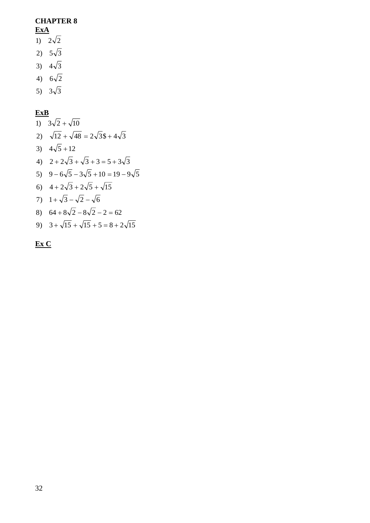### **CHAPTER 8 ExA**

- $\overline{1}$   $\overline{2}\sqrt{2}$
- 2)  $5\sqrt{3}$
- 3)  $4\sqrt{3}$
- 
- 4)  $6\sqrt{2}$
- 5)  $3\sqrt{3}$

### **ExB**

9)  $3 + \sqrt{15} + \sqrt{15} + 5 = 8 + 2\sqrt{15}$ 8)  $64 + 8\sqrt{2} - 8\sqrt{2} - 2 = 62$ 7)  $1 + \sqrt{3} - \sqrt{2} - \sqrt{6}$ 6)  $4 + 2\sqrt{3} + 2\sqrt{5} + \sqrt{15}$  $5) \quad 9 - 6\sqrt{5} - 3\sqrt{5} + 10 = 19 - 9\sqrt{5}$ 4)  $2 + 2\sqrt{3} + \sqrt{3} + 3 = 5 + 3\sqrt{3}$ 3)  $4\sqrt{5} + 12$ 2)  $\sqrt{12} + \sqrt{48} = 2\sqrt{3} + 4\sqrt{3}$ 1)  $3\sqrt{2} + \sqrt{10}$ 

**Ex C**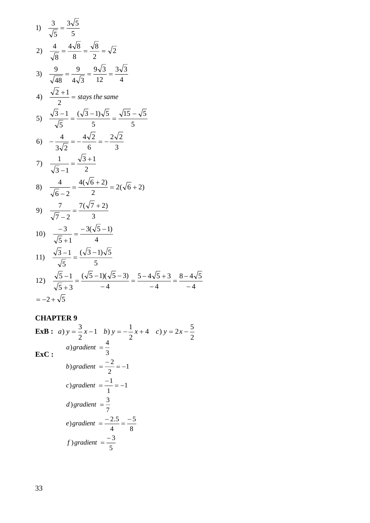1) 
$$
\frac{3}{\sqrt{5}} = \frac{3\sqrt{5}}{5}
$$
  
\n2)  $\frac{4}{\sqrt{8}} = \frac{4\sqrt{8}}{8} = \frac{\sqrt{8}}{2} = \sqrt{2}$   
\n3)  $\frac{9}{\sqrt{48}} = \frac{9}{4\sqrt{3}} = \frac{9\sqrt{3}}{12} = \frac{3\sqrt{3}}{4}$   
\n4)  $\frac{\sqrt{2}+1}{2} = \text{stays the same}$   
\n5)  $\frac{\sqrt{3}-1}{\sqrt{5}} = \frac{(\sqrt{3}-1)\sqrt{5}}{5} = \frac{\sqrt{15}-\sqrt{5}}{5}$   
\n6)  $-\frac{4}{3\sqrt{2}} = -\frac{4\sqrt{2}}{6} = -\frac{2\sqrt{2}}{3}$   
\n7)  $\frac{1}{\sqrt{3}-1} = \frac{\sqrt{3}+1}{2}$   
\n8)  $\frac{4}{\sqrt{6}-2} = \frac{4(\sqrt{6}+2)}{2} = 2(\sqrt{6}+2)$   
\n9)  $\frac{7}{\sqrt{7}-2} = \frac{7(\sqrt{7}+2)}{3}$   
\n10)  $\frac{-3}{\sqrt{5}+1} = \frac{-3(\sqrt{5}-1)}{4}$   
\n11)  $\frac{\sqrt{3}-1}{\sqrt{5}} = \frac{(\sqrt{3}-1)\sqrt{5}}{5}$   
\n12)  $\frac{\sqrt{5}-1}{\sqrt{5}+3} = \frac{(\sqrt{5}-1)(\sqrt{5}-3)}{-4} = \frac{5-4\sqrt{5}+3}{-4} = \frac{8-4\sqrt{5}}{-4}$   
\n $= -2 + \sqrt{5}$ 

### **CHAPTER 9**

**ExB :** *a*)  $y = \frac{3}{2}x-1$  *b*)  $y = -\frac{1}{2}x+4$  *c*)  $y = 2x-\frac{3}{2}$  $\frac{1}{2}x+4$  c)  $y = 2x-\frac{5}{2}$  $\frac{3}{2}x-1$  b)  $y=-\frac{1}{2}$  $(a) y = \frac{3}{2}x - 1$  *b*)  $y = -\frac{1}{2}x + 4$  *c*)  $y = 2x - 1$ **ExC :** 5  $f$ ) gradient  $=\frac{-3}{5}$ 8 5 4 ) gradient =  $\frac{-2.5}{-}$  =  $\frac{-1}{-}$ 7 d) gradient  $=\frac{3}{4}$ 1 1 c) gradient  $=\frac{-1}{i}$ 1 2 *b*) gradient  $=$   $\frac{-2}{2}$   $=$   $-$ 3 4 ) = *<sup>a</sup> gradient*− = *<sup>e</sup> gradient*